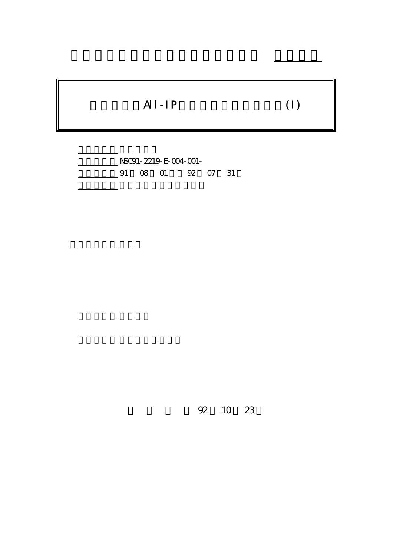# $AI-IP$  (I)

行政院國家科學委員會專題研究計畫 成果報告

計畫編號: NSC91-2219-E-004-001- 91 08 01 92 07 31

計畫主持人: 連耀南

報告類型: 完整報告

。<br>在前書 : 本計畫可公開查

92 10 23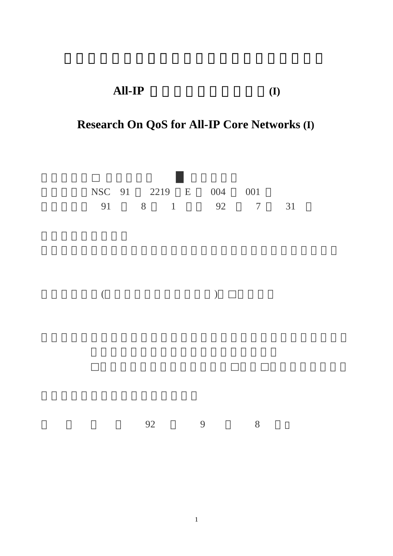### **All-IP** 核心網路品質管理研究**(I)**

## **Research On QoS for All-IP Core Networks (I)**

|                |    | NSC 91 2219 E | 004           | 001 |   |    |
|----------------|----|---------------|---------------|-----|---|----|
|                |    |               | 91 8 1 92 7   |     |   | 31 |
|                |    |               |               |     |   |    |
|                |    |               |               |     |   |    |
|                |    |               |               |     |   |    |
|                |    |               |               |     |   |    |
|                |    |               |               |     |   |    |
|                |    |               |               |     |   |    |
| $\overline{(}$ |    |               | $\mathcal{E}$ |     |   |    |
|                |    |               |               |     |   |    |
|                |    |               |               |     |   |    |
|                |    |               |               |     |   |    |
|                |    |               |               |     |   |    |
|                |    |               |               |     |   |    |
|                |    |               |               |     |   |    |
|                |    |               |               |     |   |    |
|                |    |               |               |     |   |    |
|                |    |               |               |     |   |    |
|                | 92 |               | $\mathbf{9}$  |     | 8 |    |
|                |    |               |               |     |   |    |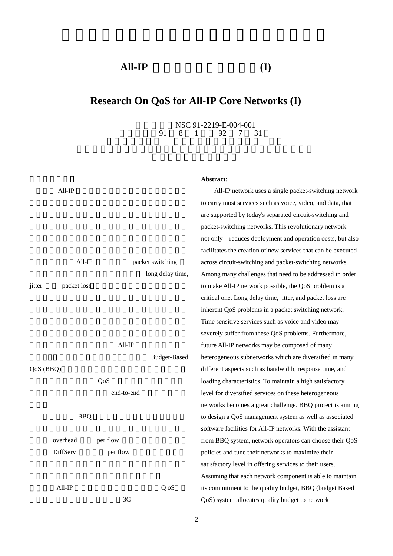#### **All-IP** 核心網路品質管理研究**(I)**

#### **Research On QoS for All-IP Core Networks (I)**

NSC 91-2219-E-004-001<br>91 8 1 92 7 31 執行期限:91 8 1 日至 92 7 31

# $All$ -IP All-IP packet switching long delay time, jitter packet loss  $All-IP$ **Budget-Based** QoS (BBO) 採用分層分權的方式將 QoS 管理權責以預算的方式分 end-to-end  $BBQ$ overhead per flow DiffServ per flow  $All-IP$  Q oS  $3<sub>G</sub>$

#### **Abstract:**

All-IP network uses a single packet-switching network to carry most services such as voice, video, and data, that are supported by today's separated circuit-switching and packet-switching networks. This revolutionary network not only reduces deployment and operation costs, but also facilitates the creation of new services that can be executed across circuit-switching and packet-switching networks. Among many challenges that need to be addressed in order to make All-IP network possible, the QoS problem is a critical one. Long delay time, jitter, and packet loss are inherent QoS problems in a packet switching network. Time sensitive services such as voice and video may severely suffer from these QoS problems. Furthermore, future All-IP networks may be composed of many heterogeneous subnetworks which are diversified in many different aspects such as bandwidth, response time, and loading characteristics. To maintain a high satisfactory level for diversified services on these heterogeneous networks becomes a great challenge. BBQ project is aiming to design a QoS management system as well as associated software facilities for All-IP networks. With the assistant from BBQ system, network operators can choose their QoS policies and tune their networks to maximize their satisfactory level in offering services to their users. Assuming that each network component is able to maintain its commitment to the quality budget, BBQ (budget Based QoS) system allocates quality budget to network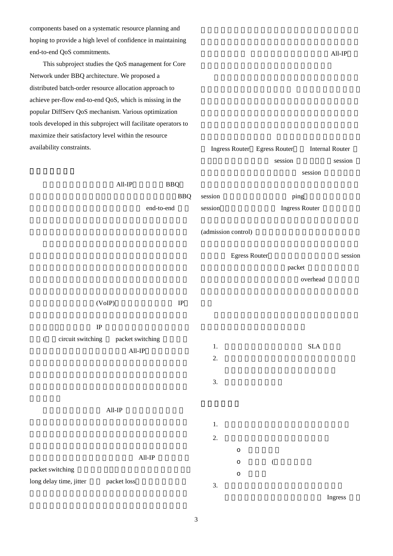components based on a systematic resource planning and hoping to provide a high level of confidence in maintaining end-to-end QoS commitments.

This subproject studies the QoS management for Core Network under BBQ architecture. We proposed a distributed batch-order resource allocation approach to achieve per-flow end-to-end QoS, which is missing in the popular DiffServ QoS mechanism. Various optimization tools developed in this subproject will facilitate operators to maximize their satisfactory level within the resource availability constraints.

 $All$ -IP

| availability constraints.     |                  |            | Ingress Router Egress Router |                     |               |                  | <b>Internal Router</b> |         |
|-------------------------------|------------------|------------|------------------------------|---------------------|---------------|------------------|------------------------|---------|
|                               |                  |            |                              |                     |               |                  | session                | session |
|                               |                  |            |                              |                     |               |                  | session                |         |
|                               | $All$ -IP        | <b>BBQ</b> |                              |                     |               |                  |                        |         |
|                               |                  |            | <b>BBQ</b>                   | session             |               |                  | ping                   |         |
|                               |                  | end-to-end |                              | ${\rm session}$     |               |                  | <b>Ingress Router</b>  |         |
|                               |                  |            |                              | (admission control) |               |                  |                        |         |
|                               |                  |            |                              |                     | Egress Router |                  |                        | session |
|                               |                  |            |                              |                     |               |                  | packet                 |         |
|                               |                  |            |                              |                     |               |                  | overhead               |         |
|                               | (VoIP)           |            | $\rm IP$                     |                     |               |                  |                        |         |
| $\rm IP$                      |                  |            |                              |                     |               |                  |                        |         |
| circuit switching<br>$\left($ | packet switching |            |                              |                     |               |                  |                        |         |
|                               | $\text{All-IP}$  |            |                              | $1. \,$<br>2.       |               |                  | $\operatorname{SLA}$   |         |
|                               |                  |            |                              |                     |               |                  |                        |         |
|                               |                  |            |                              | 3.                  |               |                  |                        |         |
|                               |                  |            |                              |                     |               |                  |                        |         |
|                               | $\text{All-IP}$  |            |                              |                     |               |                  |                        |         |
|                               |                  |            |                              | $1. \,$             |               |                  |                        |         |
|                               |                  |            |                              | 2.                  |               |                  |                        |         |
|                               |                  | $All$ -IP  |                              |                     | $\circ$       |                  |                        |         |
| packet switching              |                  |            |                              |                     | $\circ$       | $\overline{(\ }$ |                        |         |
| long delay time, jitter       | packet loss      |            |                              | 3.                  | $\circ$       |                  |                        |         |
|                               |                  |            |                              |                     |               |                  |                        |         |

**Ingress**